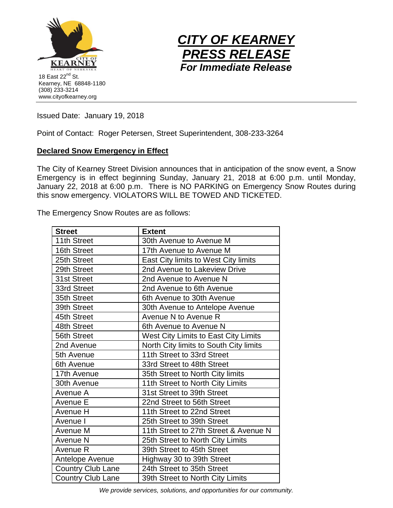



Issued Date: January 19, 2018

Point of Contact: Roger Petersen, Street Superintendent, 308-233-3264

## **Declared Snow Emergency in Effect**

The City of Kearney Street Division announces that in anticipation of the snow event, a Snow Emergency is in effect beginning Sunday, January 21, 2018 at 6:00 p.m. until Monday, January 22, 2018 at 6:00 p.m. There is NO PARKING on Emergency Snow Routes during this snow emergency. VIOLATORS WILL BE TOWED AND TICKETED.

The Emergency Snow Routes are as follows:

| <b>Street</b>            | <b>Extent</b>                          |
|--------------------------|----------------------------------------|
| 11th Street              | 30th Avenue to Avenue M                |
| 16th Street              | 17th Avenue to Avenue M                |
| 25th Street              | East City limits to West City limits   |
| 29th Street              | 2nd Avenue to Lakeview Drive           |
| 31st Street              | 2nd Avenue to Avenue N                 |
| 33rd Street              | 2nd Avenue to 6th Avenue               |
| 35th Street              | 6th Avenue to 30th Avenue              |
| 39th Street              | 30th Avenue to Antelope Avenue         |
| 45th Street              | Avenue N to Avenue R                   |
| 48th Street              | 6th Avenue to Avenue N                 |
| 56th Street              | West City Limits to East City Limits   |
| 2nd Avenue               | North City limits to South City limits |
| 5th Avenue               | 11th Street to 33rd Street             |
| 6th Avenue               | 33rd Street to 48th Street             |
| 17th Avenue              | 35th Street to North City limits       |
| 30th Avenue              | 11th Street to North City Limits       |
| Avenue A                 | 31st Street to 39th Street             |
| Avenue E                 | 22nd Street to 56th Street             |
| Avenue H                 | 11th Street to 22nd Street             |
| Avenue I                 | 25th Street to 39th Street             |
| Avenue M                 | 11th Street to 27th Street & Avenue N  |
| Avenue N                 | 25th Street to North City Limits       |
| Avenue R                 | 39th Street to 45th Street             |
| Antelope Avenue          | Highway 30 to 39th Street              |
| <b>Country Club Lane</b> | 24th Street to 35th Street             |
| <b>Country Club Lane</b> | 39th Street to North City Limits       |

*We provide services, solutions, and opportunities for our community.*